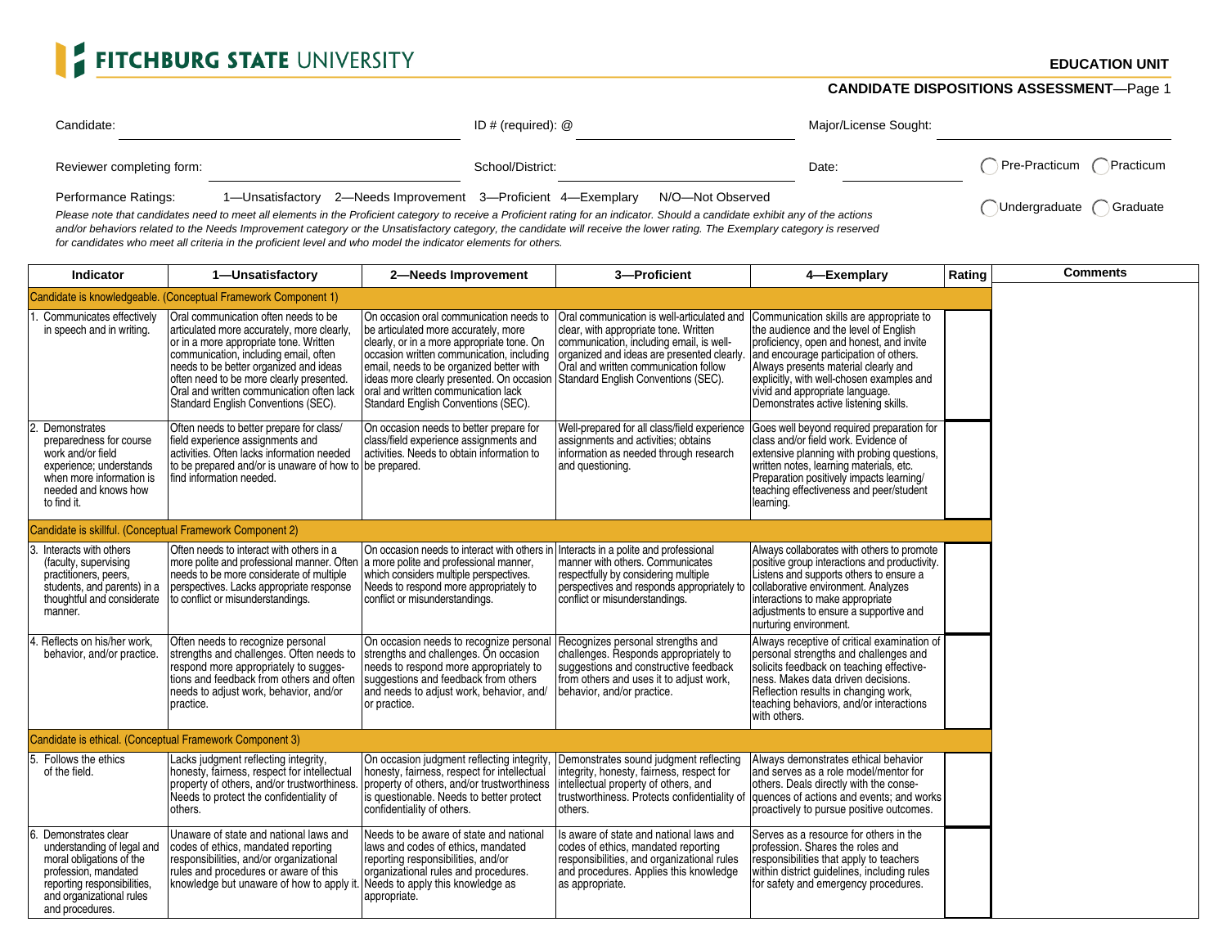## FITCHBURG STATE UNIVERSITY

## **CANDIDATE DISPOSITIONS ASSESSMENT**—Page 1

| Candidate:                                                                                                                                                                                              |                                                                                | ID # (required): $@$ |  | Major/License Sought: |                           |
|---------------------------------------------------------------------------------------------------------------------------------------------------------------------------------------------------------|--------------------------------------------------------------------------------|----------------------|--|-----------------------|---------------------------|
| Reviewer completing form:                                                                                                                                                                               |                                                                                | School/District:     |  | Date:                 | Pre-Practicum (Practicum  |
| Performance Ratings:<br>Please note that candidates need to meet all elements in the Proficient category to receive a Proficient rating for an indicator. Should a candidate exhibit any of the actions | 1-Unsatisfactory 2-Needs Improvement 3-Proficient 4-Exemplary N/O-Not Observed |                      |  |                       | Undergraduate<br>Graduate |

Please note that candidates need to meet all elements in the Proficient category to receive a Proficient rating for an indicator. Should a candidate exhibit any of the actions and/or behaviors related to the Needs Improvement category or the Unsatisfactory category, the candidate will receive the lower rating. The Exemplary category is reserved for candidates who meet all criteria in the proficient level and who model the indicator elements for others.

| <b>Indicator</b>                                                                                                                                                                   | 1-Unsatisfactory                                                                                                                                                                                                                                                                                                                                | 2-Needs Improvement                                                                                                                                                                                                                                                                                                                                | 3-Proficient                                                                                                                                                                                                                                                  | 4-Exemplary                                                                                                                                                                                                                                                                                                                             | Rating | <b>Comments</b> |
|------------------------------------------------------------------------------------------------------------------------------------------------------------------------------------|-------------------------------------------------------------------------------------------------------------------------------------------------------------------------------------------------------------------------------------------------------------------------------------------------------------------------------------------------|----------------------------------------------------------------------------------------------------------------------------------------------------------------------------------------------------------------------------------------------------------------------------------------------------------------------------------------------------|---------------------------------------------------------------------------------------------------------------------------------------------------------------------------------------------------------------------------------------------------------------|-----------------------------------------------------------------------------------------------------------------------------------------------------------------------------------------------------------------------------------------------------------------------------------------------------------------------------------------|--------|-----------------|
|                                                                                                                                                                                    | Candidate is knowledgeable. (Conceptual Framework Component 1)                                                                                                                                                                                                                                                                                  |                                                                                                                                                                                                                                                                                                                                                    |                                                                                                                                                                                                                                                               |                                                                                                                                                                                                                                                                                                                                         |        |                 |
| . Communicates effectively<br>in speech and in writing.                                                                                                                            | Oral communication often needs to be<br>articulated more accurately, more clearly,<br>or in a more appropriate tone. Written<br>communication, including email, often<br>needs to be better organized and ideas<br>often need to be more clearly presented.<br>Oral and written communication often lack<br>Standard English Conventions (SEC). | On occasion oral communication needs to<br>be articulated more accurately, more<br>clearly, or in a more appropriate tone. On<br>occasion written communication, including<br>email, needs to be organized better with<br>ideas more clearly presented. On occasion<br>loral and written communication lack<br>Standard English Conventions (SEC). | Oral communication is well-articulated and<br>clear, with appropriate tone. Written<br>communication, including email, is well-<br>organized and ideas are presented clearly.<br>Oral and written communication follow<br>Standard English Conventions (SEC). | Communication skills are appropriate to<br>the audience and the level of English<br>proficiency, open and honest, and invite<br>and encourage participation of others.<br>Always presents material clearly and<br>explicitly, with well-chosen examples and<br>vivid and appropriate language.<br>Demonstrates active listening skills. |        |                 |
| Demonstrates<br>preparedness for course<br>work and/or field<br>experience; understands<br>when more information is<br>needed and knows how<br>to find it.                         | Often needs to better prepare for class/<br>field experience assignments and<br>activities. Often lacks information needed<br>to be prepared and/or is unaware of how to be prepared.<br>find information needed.                                                                                                                               | On occasion needs to better prepare for<br>class/field experience assignments and<br>activities. Needs to obtain information to                                                                                                                                                                                                                    | Well-prepared for all class/field experience<br>assignments and activities; obtains<br>information as needed through research<br>and questioning.                                                                                                             | Goes well beyond required preparation for<br>class and/or field work. Evidence of<br>extensive planning with probing questions,<br>written notes, learning materials, etc.<br>Preparation positively impacts learning/<br>teaching effectiveness and peer/student<br>learning.                                                          |        |                 |
|                                                                                                                                                                                    | Candidate is skillful. (Conceptual Framework Component 2)                                                                                                                                                                                                                                                                                       |                                                                                                                                                                                                                                                                                                                                                    |                                                                                                                                                                                                                                                               |                                                                                                                                                                                                                                                                                                                                         |        |                 |
| 3. Interacts with others<br>(faculty, supervising<br>practitioners, peers,<br>students, and parents) in a<br>thoughtful and considerate<br>manner.                                 | Often needs to interact with others in a<br>more polite and professional manner. Often<br>needs to be more considerate of multiple<br>perspectives. Lacks appropriate response<br>to conflict or misunderstandings.                                                                                                                             | On occasion needs to interact with others in<br>a more polite and professional manner,<br>which considers multiple perspectives.<br>Needs to respond more appropriately to<br>conflict or misunderstandings.                                                                                                                                       | Interacts in a polite and professional<br>manner with others. Communicates<br>respectfully by considering multiple<br>perspectives and responds appropriately to<br>conflict or misunderstandings.                                                            | Always collaborates with others to promote<br>positive group interactions and productivity.<br>Listens and supports others to ensure a<br>collaborative environment. Analyzes<br>interactions to make appropriate<br>adjustments to ensure a supportive and<br>nurturing environment.                                                   |        |                 |
| . Reflects on his/her work.<br>behavior, and/or practice.                                                                                                                          | Often needs to recognize personal<br>strengths and challenges. Often needs to<br>respond more appropriately to sugges-<br>tions and feedback from others and often<br>needs to adjust work, behavior, and/or<br>practice.                                                                                                                       | On occasion needs to recognize personal<br>strengths and challenges. On occasion<br>needs to respond more appropriately to<br>suggestions and feedback from others<br>and needs to adjust work, behavior, and/<br>or practice.                                                                                                                     | Recognizes personal strengths and<br>challenges. Responds appropriately to<br>suggestions and constructive feedback<br>from others and uses it to adjust work,<br>behavior, and/or practice.                                                                  | Always receptive of critical examination of<br>personal strengths and challenges and<br>solicits feedback on teaching effective-<br>ness. Makes data driven decisions.<br>Reflection results in changing work,<br>teaching behaviors, and/or interactions<br>with others.                                                               |        |                 |
|                                                                                                                                                                                    | Candidate is ethical. (Conceptual Framework Component 3)                                                                                                                                                                                                                                                                                        |                                                                                                                                                                                                                                                                                                                                                    |                                                                                                                                                                                                                                                               |                                                                                                                                                                                                                                                                                                                                         |        |                 |
| 5. Follows the ethics<br>of the field.                                                                                                                                             | Lacks judgment reflecting integrity,<br>honesty, fairness, respect for intellectual<br>property of others, and/or trustworthiness.<br>Needs to protect the confidentiality of<br>others.                                                                                                                                                        | On occasion judgment reflecting integrity.<br>honesty, fairness, respect for intellectual<br>property of others, and/or trustworthiness<br>is questionable. Needs to better protect<br>confidentiality of others.                                                                                                                                  | Demonstrates sound judgment reflecting<br>integrity, honesty, fairness, respect for<br>intellectual property of others, and<br>trustworthiness. Protects confidentiality of<br>others.                                                                        | Always demonstrates ethical behavior<br>land serves as a role model/mentor for<br>others. Deals directly with the conse-<br>quences of actions and events; and works<br>proactively to pursue positive outcomes.                                                                                                                        |        |                 |
| Demonstrates clear<br>understanding of legal and<br>moral obligations of the<br>profession, mandated<br>reporting responsibilities,<br>and organizational rules<br>and procedures. | Unaware of state and national laws and<br>codes of ethics, mandated reporting<br>responsibilities, and/or organizational<br>rules and procedures or aware of this<br>knowledge but unaware of how to apply it.                                                                                                                                  | Needs to be aware of state and national<br>laws and codes of ethics, mandated<br>reporting responsibilities, and/or<br>organizational rules and procedures.<br>Needs to apply this knowledge as<br>appropriate.                                                                                                                                    | Is aware of state and national laws and<br>codes of ethics, mandated reporting<br>responsibilities, and organizational rules<br>and procedures. Applies this knowledge<br>as appropriate.                                                                     | Serves as a resource for others in the<br>profession. Shares the roles and<br>responsibilities that apply to teachers<br>within district guidelines, including rules<br>for safety and emergency procedures.                                                                                                                            |        |                 |